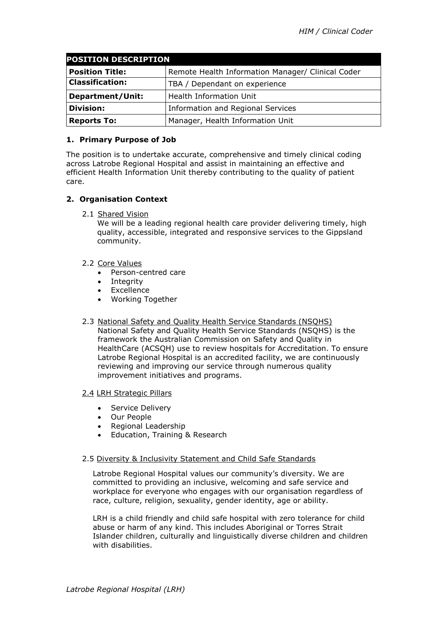| <b>POSITION DESCRIPTION</b> |                                                   |
|-----------------------------|---------------------------------------------------|
| <b>Position Title:</b>      | Remote Health Information Manager/ Clinical Coder |
| <b>Classification:</b>      | TBA / Dependant on experience                     |
| <b>Department/Unit:</b>     | Health Information Unit                           |
| <b>Division:</b>            | Information and Regional Services                 |
| <b>Reports To:</b>          | Manager, Health Information Unit                  |

## **1. Primary Purpose of Job**

The position is to undertake accurate, comprehensive and timely clinical coding across Latrobe Regional Hospital and assist in maintaining an effective and efficient Health Information Unit thereby contributing to the quality of patient care.

# **2. Organisation Context**

2.1 Shared Vision

We will be a leading regional health care provider delivering timely, high quality, accessible, integrated and responsive services to the Gippsland community.

- 2.2 Core Values
	- Person-centred care
	- Integrity
	- Excellence
	- Working Together
- 2.3 National Safety and Quality Health Service Standards (NSQHS) National Safety and Quality Health Service Standards (NSQHS) is the framework the Australian Commission on Safety and Quality in HealthCare (ACSQH) use to review hospitals for Accreditation. To ensure Latrobe Regional Hospital is an accredited facility, we are continuously reviewing and improving our service through numerous quality improvement initiatives and programs.

## 2.4 LRH Strategic Pillars

- Service Delivery
- Our People
- Regional Leadership
- Education, Training & Research

## 2.5 Diversity & Inclusivity Statement and Child Safe Standards

Latrobe Regional Hospital values our community's diversity. We are committed to providing an inclusive, welcoming and safe service and workplace for everyone who engages with our organisation regardless of race, culture, religion, sexuality, gender identity, age or ability.

LRH is a child friendly and child safe hospital with zero tolerance for child abuse or harm of any kind. This includes Aboriginal or Torres Strait Islander children, culturally and linguistically diverse children and children with disabilities.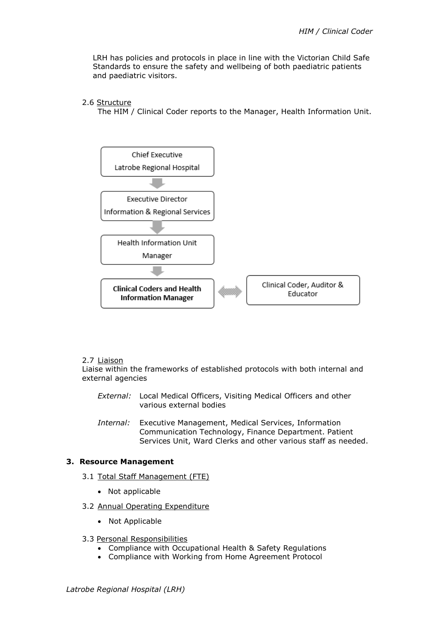LRH has policies and protocols in place in line with the Victorian Child Safe Standards to ensure the safety and wellbeing of both paediatric patients and paediatric visitors.

### 2.6 Structure

The HIM / Clinical Coder reports to the Manager, Health Information Unit.



### 2.7 Liaison

Liaise within the frameworks of established protocols with both internal and external agencies

- *External:* Local Medical Officers, Visiting Medical Officers and other various external bodies
- *Internal:* Executive Management, Medical Services, Information Communication Technology, Finance Department. Patient Services Unit, Ward Clerks and other various staff as needed.

#### **3. Resource Management**

- 3.1 Total Staff Management (FTE)
	- Not applicable
- 3.2 Annual Operating Expenditure
	- Not Applicable

#### 3.3 Personal Responsibilities

- Compliance with Occupational Health & Safety Regulations
- Compliance with Working from Home Agreement Protocol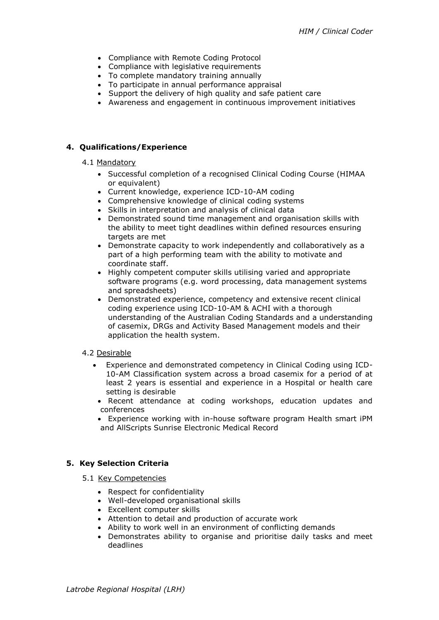- Compliance with Remote Coding Protocol
- Compliance with legislative requirements
- To complete mandatory training annually
- To participate in annual performance appraisal
- Support the delivery of high quality and safe patient care
- Awareness and engagement in continuous improvement initiatives

## **4. Qualifications/Experience**

#### 4.1 Mandatory

- Successful completion of a recognised Clinical Coding Course (HIMAA or equivalent)
- Current knowledge, experience ICD-10-AM coding
- Comprehensive knowledge of clinical coding systems
- Skills in interpretation and analysis of clinical data
- Demonstrated sound time management and organisation skills with the ability to meet tight deadlines within defined resources ensuring targets are met
- Demonstrate capacity to work independently and collaboratively as a part of a high performing team with the ability to motivate and coordinate staff.
- Highly competent computer skills utilising varied and appropriate software programs (e.g. word processing, data management systems and spreadsheets)
- Demonstrated experience, competency and extensive recent clinical coding experience using ICD-10-AM & ACHI with a thorough understanding of the Australian Coding Standards and a understanding of casemix, DRGs and Activity Based Management models and their application the health system.

### 4.2 Desirable

- Experience and demonstrated competency in Clinical Coding using ICD-10-AM Classification system across a broad casemix for a period of at least 2 years is essential and experience in a Hospital or health care setting is desirable
- Recent attendance at coding workshops, education updates and conferences
- Experience working with in-house software program Health smart iPM and AllScripts Sunrise Electronic Medical Record

## **5. Key Selection Criteria**

- 5.1 Key Competencies
	- Respect for confidentiality
	- Well-developed organisational skills
	- Excellent computer skills
	- Attention to detail and production of accurate work
	- Ability to work well in an environment of conflicting demands
	- Demonstrates ability to organise and prioritise daily tasks and meet deadlines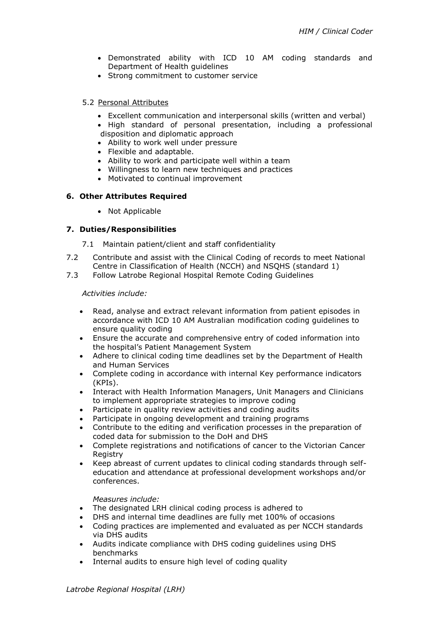- Demonstrated ability with ICD 10 AM coding standards and Department of Health guidelines
- Strong commitment to customer service

### 5.2 Personal Attributes

- Excellent communication and interpersonal skills (written and verbal)
- High standard of personal presentation, including a professional disposition and diplomatic approach
- Ability to work well under pressure
- Flexible and adaptable.
- Ability to work and participate well within a team
- Willingness to learn new techniques and practices
- Motivated to continual improvement

### **6. Other Attributes Required**

• Not Applicable

## **7. Duties/Responsibilities**

7.1 Maintain patient/client and staff confidentiality

- 7.2 Contribute and assist with the Clinical Coding of records to meet National Centre in Classification of Health (NCCH) and NSQHS (standard 1)
- 7.3 Follow Latrobe Regional Hospital Remote Coding Guidelines

### *Activities include:*

- Read, analyse and extract relevant information from patient episodes in accordance with ICD 10 AM Australian modification coding guidelines to ensure quality coding
- Ensure the accurate and comprehensive entry of coded information into the hospital's Patient Management System
- Adhere to clinical coding time deadlines set by the Department of Health and Human Services
- Complete coding in accordance with internal Key performance indicators (KPIs).
- Interact with Health Information Managers, Unit Managers and Clinicians to implement appropriate strategies to improve coding
- Participate in quality review activities and coding audits
- Participate in ongoing development and training programs
- Contribute to the editing and verification processes in the preparation of coded data for submission to the DoH and DHS
- Complete registrations and notifications of cancer to the Victorian Cancer Registry
- Keep abreast of current updates to clinical coding standards through selfeducation and attendance at professional development workshops and/or conferences.

### *Measures include:*

- The designated LRH clinical coding process is adhered to
- DHS and internal time deadlines are fully met 100% of occasions
- Coding practices are implemented and evaluated as per NCCH standards via DHS audits
- Audits indicate compliance with DHS coding guidelines using DHS benchmarks
- Internal audits to ensure high level of coding quality